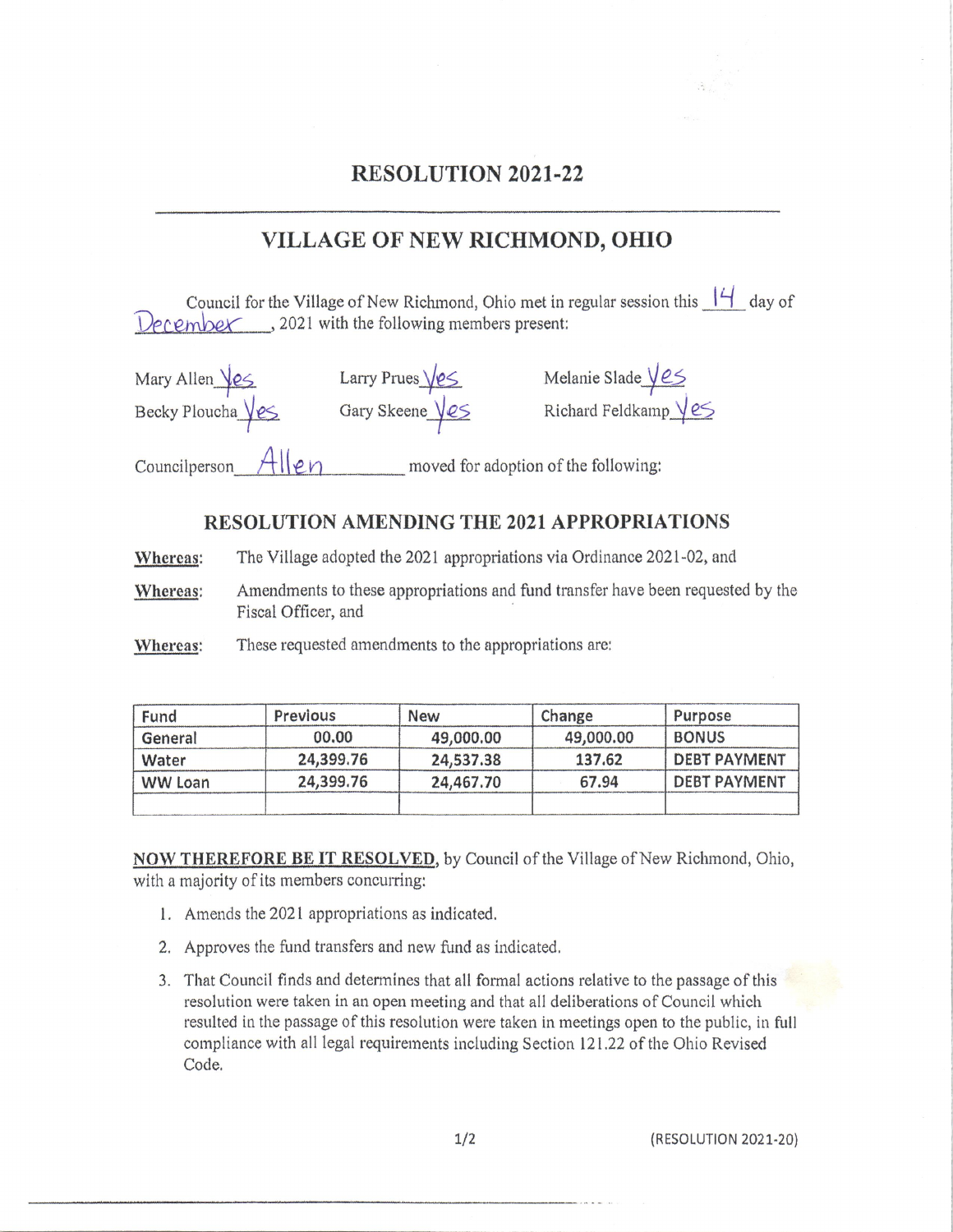## RESOLUTION 2021-22

## VILLAGE OF NEW RICHMOND, OHIO

Council for the Village of New Richmond, Ohio met in regular session this  $14$  day of  $U$ e $\uparrow$  ember, 2021 with the following members present:

| Mary Allen Ves<br>Becky Ploucha Ves |  | Larry Prues $\sqrt{25}$<br>Gary Skeene Ves | Melanie Slade $\sqrt{25}$<br>Richard Feldkamp $\sqrt{eS}$                                                            |
|-------------------------------------|--|--------------------------------------------|----------------------------------------------------------------------------------------------------------------------|
|                                     |  |                                            |                                                                                                                      |
| $\Box$<br>$\alpha$ $\alpha$         |  |                                            | $\alpha$ and $\beta$ and $\beta$ and $\beta$ and $\beta$ and $\beta$ and $\beta$ and $\beta$ and $\beta$ and $\beta$ |

Councilperson  $H||en$  moved for adoption of the following:

## RESOLUTION AMENDING THE 2021 APPROPRIATIONS

Whereas: The Village adopted the 2021 appropriations via Ordinance 2021-02, and

Whereas: Amendments to these appropriations and fund transfer have been requested by the Fiscal Officer, and

Whereas: These requested amendments to the appropriations are:

| Fund           | <b>Previous</b> | <b>New</b> | Change    | Purpose             |
|----------------|-----------------|------------|-----------|---------------------|
| General        | 00.00           | 49,000.00  | 49,000.00 | <b>BONUS</b>        |
| Water          | 24,399.76       | 24,537.38  | 137.62    | <b>DEBT PAYMENT</b> |
| <b>WW Loan</b> | 24,399.76       | 24,467.70  | 67.94     | <b>DEBT PAYMENT</b> |

NOW THEREFORE BE IT RESOLVED, by Council of the Village of New Richmond, Ohio, with <sup>a</sup> majority of its members concurring:

- 1. Amends the 2021 appropriations as indicated.
- 2. Approves the fund transfers and new fund as indicated.
- 3. That Council finds and determines that all formal actions relative to the passage of this resolution were taken in an open meeting and that all deliberations of Council which resulted in the passage of this resolution were taken in meetings open to the public, in full compliance with all legal requirements including Section 121. 22 of the Ohio Revised Code.